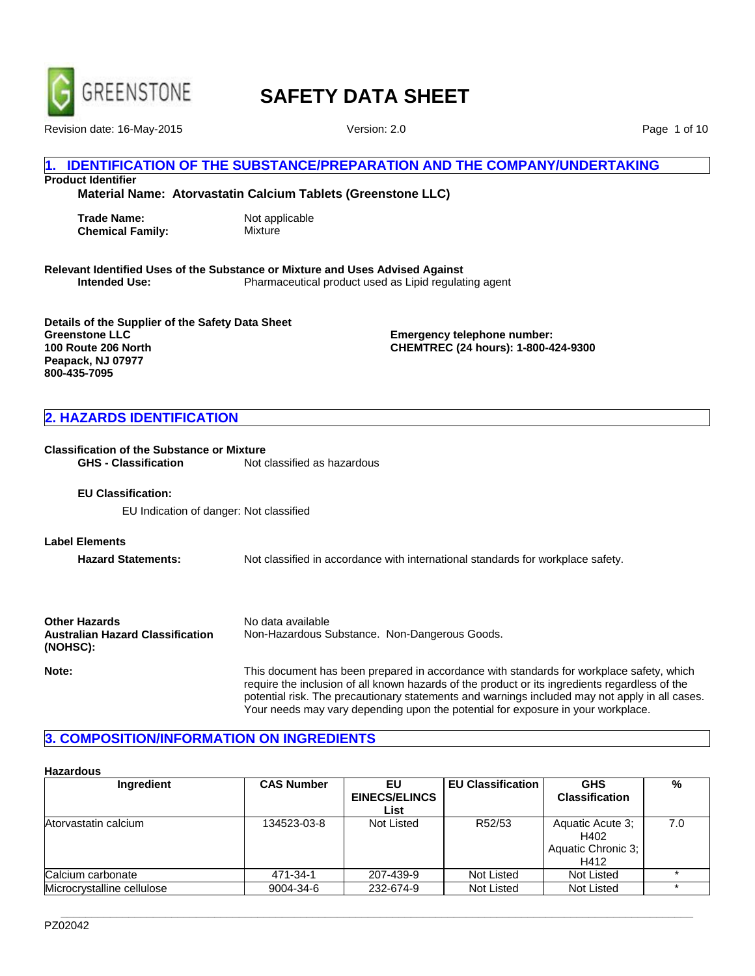

Revision date: 16-May-2015 **Version: 2.0** 

Page 1 of 10

# **IDENTIFICATION OF THE SUBSTANCE/PREPARATION AND THE COMPANY/UNDERTAKING**

**Product Identifier**

**Material Name: Atorvastatin Calcium Tablets (Greenstone LLC)**

**Trade Name:** Not applicable **Chemical Family:** Mixture

**Relevant Identified Uses of the Substance or Mixture and Uses Advised Against Intended Use:** Pharmaceutical product used as Lipid regulating agent

**Details of the Supplier of the Safety Data Sheet Greenstone LLC 100 Route 206 North Peapack, NJ 07977 800-435-7095**

**Emergency telephone number: CHEMTREC (24 hours): 1-800-424-9300**

# **2. HAZARDS IDENTIFICATION**

# **Classification of the Substance or Mixture**<br>**GHS - Classification** Mot of

Not classified as hazardous

**EU Classification:**

EU Indication of danger: Not classified

**Label Elements**

**Hazard Statements:** Not classified in accordance with international standards for workplace safety.

| <b>Other Hazards</b>                                | No data available                                  |
|-----------------------------------------------------|----------------------------------------------------|
| <b>Australian Hazard Classification</b><br>(NOHSC): | Non-Hazardous Substance. Non-Dangerous Goods.      |
| Note:                                               | This document has hean prepared in accordance with |

**Note:** This document has been prepared in accordance with standards for workplace safety, which require the inclusion of all known hazards of the product or its ingredients regardless of the potential risk. The precautionary statements and warnings included may not apply in all cases. Your needs may vary depending upon the potential for exposure in your workplace.

# **3. COMPOSITION/INFORMATION ON INGREDIENTS**

#### **Hazardous**

| Ingredient                 | <b>CAS Number</b> | EU                   | <b>EU Classification</b> | <b>GHS</b>            | %   |
|----------------------------|-------------------|----------------------|--------------------------|-----------------------|-----|
|                            |                   | <b>EINECS/ELINCS</b> |                          | <b>Classification</b> |     |
|                            |                   | List                 |                          |                       |     |
| Atorvastatin calcium       | 134523-03-8       | Not Listed           | R52/53                   | Aquatic Acute 3;      | 7.0 |
|                            |                   |                      |                          | H402                  |     |
|                            |                   |                      |                          | Aquatic Chronic 3;    |     |
|                            |                   |                      |                          | H412                  |     |
| Calcium carbonate          | 471-34-1          | 207-439-9            | Not Listed               | Not Listed            |     |
| Microcrystalline cellulose | 9004-34-6         | 232-674-9            | Not Listed               | Not Listed            |     |

**\_\_\_\_\_\_\_\_\_\_\_\_\_\_\_\_\_\_\_\_\_\_\_\_\_\_\_\_\_\_\_\_\_\_\_\_\_\_\_\_\_\_\_\_\_\_\_\_\_\_\_\_\_\_\_\_\_\_\_\_\_\_\_\_\_\_\_\_\_\_\_\_\_\_\_\_\_\_\_\_\_\_\_\_\_\_\_\_\_\_\_\_\_\_\_\_\_\_\_\_\_\_\_**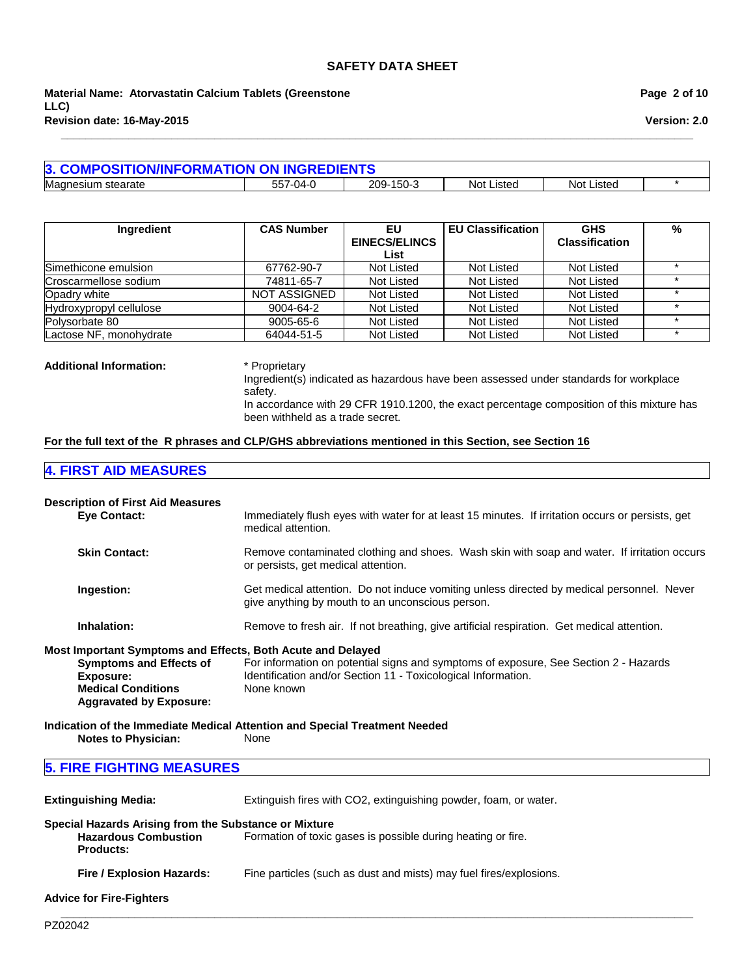**Material Name: Atorvastatin Calcium Tablets (Greenstone LLC) Revision date: 16-May-2015**

|  | Page 2 of 10 |  |  |  |
|--|--------------|--|--|--|
|--|--------------|--|--|--|

**Version: 2.0**

| 3. COMPOSITION/INFORMATION ON INGREDIENTS |               |           |                 |               |  |
|-------------------------------------------|---------------|-----------|-----------------|---------------|--|
| Magn<br>stearate<br>nesium                | 7-04-0<br>557 | 209-150-3 | Not I<br>Listec | Listed<br>Not |  |

**\_\_\_\_\_\_\_\_\_\_\_\_\_\_\_\_\_\_\_\_\_\_\_\_\_\_\_\_\_\_\_\_\_\_\_\_\_\_\_\_\_\_\_\_\_\_\_\_\_\_\_\_\_\_\_\_\_\_\_\_\_\_\_\_\_\_\_\_\_\_\_\_\_\_\_\_\_\_\_\_\_\_\_\_\_\_\_\_\_\_\_\_\_\_\_\_\_\_\_\_\_\_\_**

| Ingredient              | <b>CAS Number</b>   | EU.                  | <b>EU Classification</b> | <b>GHS</b>            | % |
|-------------------------|---------------------|----------------------|--------------------------|-----------------------|---|
|                         |                     | <b>EINECS/ELINCS</b> |                          | <b>Classification</b> |   |
|                         |                     | List                 |                          |                       |   |
| Simethicone emulsion    | 67762-90-7          | Not Listed           | Not Listed               | Not Listed            |   |
| Croscarmellose sodium   | 74811-65-7          | Not Listed           | Not Listed               | Not Listed            |   |
| Opadry white            | <b>NOT ASSIGNED</b> | Not Listed           | Not Listed               | <b>Not Listed</b>     |   |
| Hydroxypropyl cellulose | 9004-64-2           | Not Listed           | Not Listed               | Not Listed            |   |
| Polysorbate 80          | 9005-65-6           | Not Listed           | Not Listed               | Not Listed            |   |
| Lactose NF, monohydrate | 64044-51-5          | Not Listed           | Not Listed               | Not Listed            |   |

# **Additional Information:** \* Proprietary

Ingredient(s) indicated as hazardous have been assessed under standards for workplace safety.

In accordance with 29 CFR 1910.1200, the exact percentage composition of this mixture has been withheld as a trade secret.

### **For the full text of the R phrases and CLP/GHS abbreviations mentioned in this Section, see Section 16**

# **4. FIRST AID MEASURES**

| <b>Description of First Aid Measures</b><br><b>Eve Contact:</b>                                                                                                           | Immediately flush eyes with water for at least 15 minutes. If irritation occurs or persists, get<br>medical attention.                                              |
|---------------------------------------------------------------------------------------------------------------------------------------------------------------------------|---------------------------------------------------------------------------------------------------------------------------------------------------------------------|
| <b>Skin Contact:</b>                                                                                                                                                      | Remove contaminated clothing and shoes. Wash skin with soap and water. If irritation occurs<br>or persists, get medical attention.                                  |
| Ingestion:                                                                                                                                                                | Get medical attention. Do not induce vomiting unless directed by medical personnel. Never<br>give anything by mouth to an unconscious person.                       |
| Inhalation:                                                                                                                                                               | Remove to fresh air. If not breathing, give artificial respiration. Get medical attention.                                                                          |
| Most Important Symptoms and Effects, Both Acute and Delayed<br><b>Symptoms and Effects of</b><br>Exposure:<br><b>Medical Conditions</b><br><b>Aggravated by Exposure:</b> | For information on potential signs and symptoms of exposure, See Section 2 - Hazards<br>Identification and/or Section 11 - Toxicological Information.<br>None known |
| <b>Notes to Physician:</b>                                                                                                                                                | Indication of the Immediate Medical Attention and Special Treatment Needed<br>None                                                                                  |

**\_\_\_\_\_\_\_\_\_\_\_\_\_\_\_\_\_\_\_\_\_\_\_\_\_\_\_\_\_\_\_\_\_\_\_\_\_\_\_\_\_\_\_\_\_\_\_\_\_\_\_\_\_\_\_\_\_\_\_\_\_\_\_\_\_\_\_\_\_\_\_\_\_\_\_\_\_\_\_\_\_\_\_\_\_\_\_\_\_\_\_\_\_\_\_\_\_\_\_\_\_\_\_**

# **5. FIRE FIGHTING MEASURES**

**Extinguishing Media:** Extinguish fires with CO2, extinguishing powder, foam, or water.

#### **Special Hazards Arising from the Substance or Mixture**

| <b>Hazardous Combustion</b> | Formation of toxic gases is possible during heating or fire. |
|-----------------------------|--------------------------------------------------------------|
| <b>Products:</b>            |                                                              |

Fire / Explosion Hazards: Fine particles (such as dust and mists) may fuel fires/explosions.

**Advice for Fire-Fighters**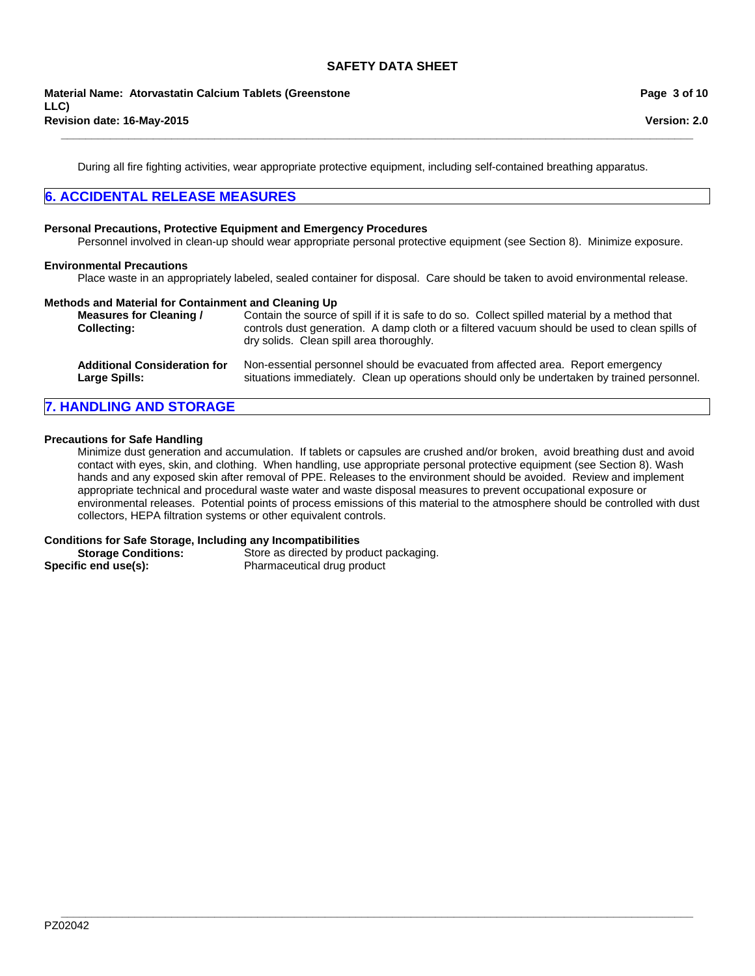During all fire fighting activities, wear appropriate protective equipment, including self-contained breathing apparatus.

**\_\_\_\_\_\_\_\_\_\_\_\_\_\_\_\_\_\_\_\_\_\_\_\_\_\_\_\_\_\_\_\_\_\_\_\_\_\_\_\_\_\_\_\_\_\_\_\_\_\_\_\_\_\_\_\_\_\_\_\_\_\_\_\_\_\_\_\_\_\_\_\_\_\_\_\_\_\_\_\_\_\_\_\_\_\_\_\_\_\_\_\_\_\_\_\_\_\_\_\_\_\_\_**

# **6. ACCIDENTAL RELEASE MEASURES**

#### **Personal Precautions, Protective Equipment and Emergency Procedures**

Personnel involved in clean-up should wear appropriate personal protective equipment (see Section 8). Minimize exposure.

#### **Environmental Precautions**

Place waste in an appropriately labeled, sealed container for disposal. Care should be taken to avoid environmental release.

#### **Methods and Material for Containment and Cleaning Up**

| <b>Measures for Cleaning /</b><br><b>Collecting:</b> | Contain the source of spill if it is safe to do so. Collect spilled material by a method that<br>controls dust generation. A damp cloth or a filtered vacuum should be used to clean spills of<br>dry solids. Clean spill area thoroughly. |
|------------------------------------------------------|--------------------------------------------------------------------------------------------------------------------------------------------------------------------------------------------------------------------------------------------|
| <b>Additional Consideration for</b>                  | Non-essential personnel should be evacuated from affected area. Report emergency                                                                                                                                                           |
| Large Spills:                                        | situations immediately. Clean up operations should only be undertaken by trained personnel.                                                                                                                                                |

# **7. HANDLING AND STORAGE**

### **Precautions for Safe Handling**

Minimize dust generation and accumulation. If tablets or capsules are crushed and/or broken, avoid breathing dust and avoid contact with eyes, skin, and clothing. When handling, use appropriate personal protective equipment (see Section 8). Wash hands and any exposed skin after removal of PPE. Releases to the environment should be avoided. Review and implement appropriate technical and procedural waste water and waste disposal measures to prevent occupational exposure or environmental releases. Potential points of process emissions of this material to the atmosphere should be controlled with dust collectors, HEPA filtration systems or other equivalent controls.

**\_\_\_\_\_\_\_\_\_\_\_\_\_\_\_\_\_\_\_\_\_\_\_\_\_\_\_\_\_\_\_\_\_\_\_\_\_\_\_\_\_\_\_\_\_\_\_\_\_\_\_\_\_\_\_\_\_\_\_\_\_\_\_\_\_\_\_\_\_\_\_\_\_\_\_\_\_\_\_\_\_\_\_\_\_\_\_\_\_\_\_\_\_\_\_\_\_\_\_\_\_\_\_**

#### **Conditions for Safe Storage, Including any Incompatibilities**

| <b>Storage Conditions:</b> | Store as directed by product packaging. |
|----------------------------|-----------------------------------------|
| Specific end use(s):       | Pharmaceutical drug product             |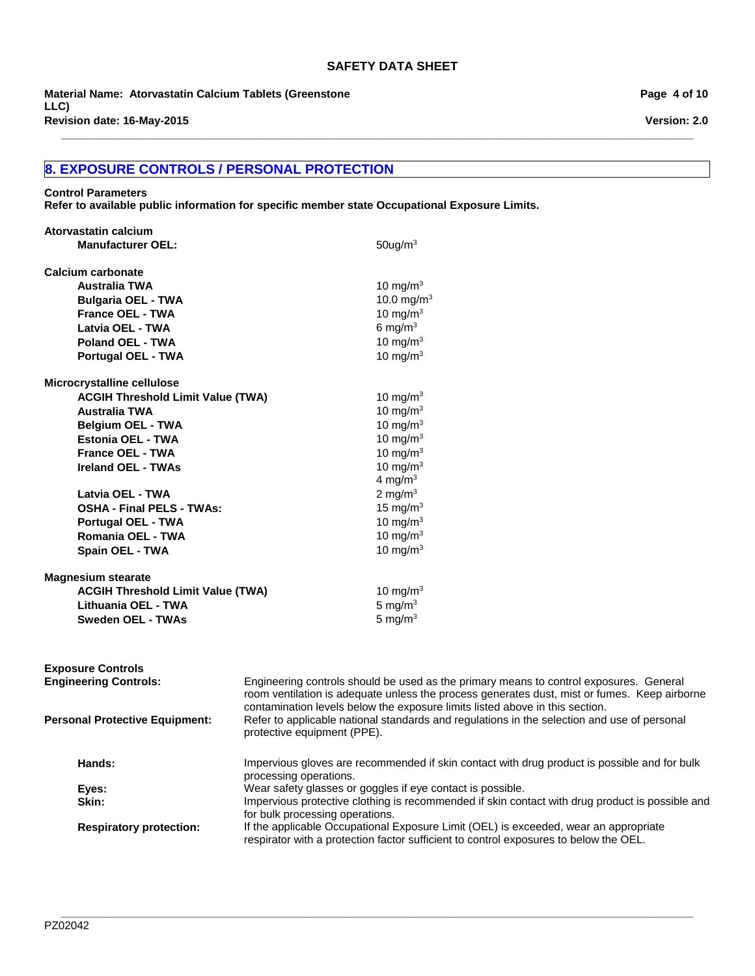**\_\_\_\_\_\_\_\_\_\_\_\_\_\_\_\_\_\_\_\_\_\_\_\_\_\_\_\_\_\_\_\_\_\_\_\_\_\_\_\_\_\_\_\_\_\_\_\_\_\_\_\_\_\_\_\_\_\_\_\_\_\_\_\_\_\_\_\_\_\_\_\_\_\_\_\_\_\_\_\_\_\_\_\_\_\_\_\_\_\_\_\_\_\_\_\_\_\_\_\_\_\_\_**

**Revision date: 16-May-2015 Material Name: Atorvastatin Calcium Tablets (Greenstone LLC)**

# **8. EXPOSURE CONTROLS / PERSONAL PROTECTION**

**Control Parameters Refer to available public information for specific member state Occupational Exposure Limits.**

| Atorvastatin calcium                     |                                                                                                                            |
|------------------------------------------|----------------------------------------------------------------------------------------------------------------------------|
| <b>Manufacturer OEL:</b>                 | $50$ ug/m $3$                                                                                                              |
|                                          |                                                                                                                            |
| Calcium carbonate                        |                                                                                                                            |
| <b>Australia TWA</b>                     | 10 mg/m $3$                                                                                                                |
| <b>Bulgaria OEL - TWA</b>                | 10.0 mg/m $3$                                                                                                              |
| <b>France OEL - TWA</b>                  | 10 mg/m $3$                                                                                                                |
| Latvia OEL - TWA                         | 6 mg/m $3$                                                                                                                 |
| <b>Poland OEL - TWA</b>                  | 10 mg/m $3$                                                                                                                |
| <b>Portugal OEL - TWA</b>                | 10 mg/m $3$                                                                                                                |
|                                          |                                                                                                                            |
| Microcrystalline cellulose               |                                                                                                                            |
| <b>ACGIH Threshold Limit Value (TWA)</b> | 10 mg/m $3$                                                                                                                |
| <b>Australia TWA</b>                     | 10 mg/m $3$                                                                                                                |
| <b>Belgium OEL - TWA</b>                 | 10 mg/m $3$                                                                                                                |
| <b>Estonia OEL - TWA</b>                 | 10 mg/m $3$                                                                                                                |
| France OEL - TWA                         | 10 mg/m $3$                                                                                                                |
| <b>Ireland OEL - TWAs</b>                | 10 mg/m $3$                                                                                                                |
|                                          | 4 mg/m <sup>3</sup>                                                                                                        |
|                                          | 2 mg/m $3$                                                                                                                 |
| Latvia OEL - TWA                         |                                                                                                                            |
| <b>OSHA - Final PELS - TWAs:</b>         | 15 mg/m $3$                                                                                                                |
| <b>Portugal OEL - TWA</b>                | 10 mg/m $3$                                                                                                                |
| <b>Romania OEL - TWA</b>                 | 10 mg/m $3$                                                                                                                |
| Spain OEL - TWA                          | 10 mg/m $3$                                                                                                                |
| <b>Magnesium stearate</b>                |                                                                                                                            |
| <b>ACGIH Threshold Limit Value (TWA)</b> | 10 mg/m $3$                                                                                                                |
| Lithuania OEL - TWA                      | 5 mg/ $m3$                                                                                                                 |
| <b>Sweden OEL - TWAs</b>                 | 5 mg/ $m3$                                                                                                                 |
|                                          |                                                                                                                            |
|                                          |                                                                                                                            |
|                                          |                                                                                                                            |
| <b>Exposure Controls</b>                 |                                                                                                                            |
| <b>Engineering Controls:</b>             | Engineering controls should be used as the primary means to control exposures. General                                     |
|                                          | room ventilation is adequate unless the process generates dust, mist or fumes. Keep airborne                               |
|                                          | contamination levels below the exposure limits listed above in this section.                                               |
| <b>Personal Protective Equipment:</b>    | Refer to applicable national standards and regulations in the selection and use of personal<br>protective equipment (PPE). |
|                                          |                                                                                                                            |
| Hands:                                   | Impervious gloves are recommended if skin contact with drug product is possible and for bulk                               |
|                                          | processing operations.                                                                                                     |
| Eyes:                                    | Wear safety glasses or goggles if eye contact is possible.                                                                 |
| Skin:                                    | Impervious protective clothing is recommended if skin contact with drug product is possible and                            |
|                                          | for bulk processing operations.                                                                                            |
| <b>Respiratory protection:</b>           | If the applicable Occupational Exposure Limit (OEL) is exceeded, wear an appropriate                                       |
|                                          | respirator with a protection factor sufficient to control exposures to below the OEL.                                      |

**Page 4 of 10**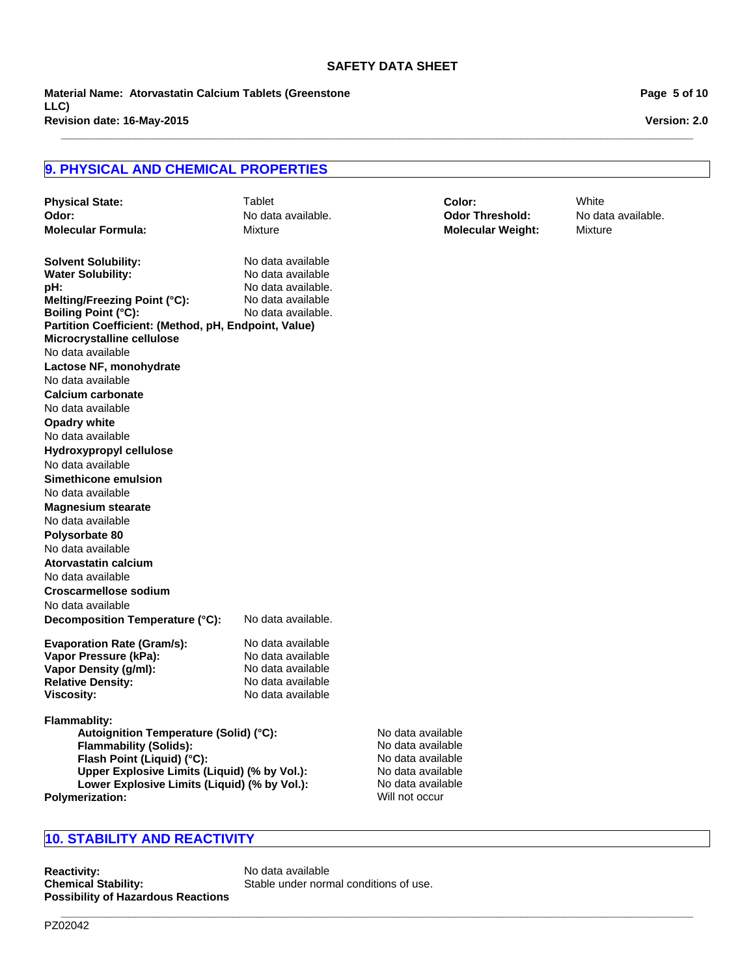**\_\_\_\_\_\_\_\_\_\_\_\_\_\_\_\_\_\_\_\_\_\_\_\_\_\_\_\_\_\_\_\_\_\_\_\_\_\_\_\_\_\_\_\_\_\_\_\_\_\_\_\_\_\_\_\_\_\_\_\_\_\_\_\_\_\_\_\_\_\_\_\_\_\_\_\_\_\_\_\_\_\_\_\_\_\_\_\_\_\_\_\_\_\_\_\_\_\_\_\_\_\_\_**

**Revision date: 16-May-2015 Material Name: Atorvastatin Calcium Tablets (Greenstone LLC)**

**Page 5 of 10**

**Version: 2.0**

# **9. PHYSICAL AND CHEMICAL PROPERTIES**

| <b>Physical State:</b>                                                 | Tablet             |                                     | Color:                   | White              |
|------------------------------------------------------------------------|--------------------|-------------------------------------|--------------------------|--------------------|
| Odor:                                                                  | No data available. |                                     | <b>Odor Threshold:</b>   | No data available. |
| <b>Molecular Formula:</b>                                              | Mixture            |                                     | <b>Molecular Weight:</b> | Mixture            |
| <b>Solvent Solubility:</b>                                             | No data available  |                                     |                          |                    |
| <b>Water Solubility:</b>                                               | No data available  |                                     |                          |                    |
| :bH                                                                    | No data available. |                                     |                          |                    |
| Melting/Freezing Point (°C):                                           | No data available  |                                     |                          |                    |
| <b>Boiling Point (°C):</b>                                             | No data available. |                                     |                          |                    |
| Partition Coefficient: (Method, pH, Endpoint, Value)                   |                    |                                     |                          |                    |
| Microcrystalline cellulose                                             |                    |                                     |                          |                    |
| No data available                                                      |                    |                                     |                          |                    |
| Lactose NF, monohydrate                                                |                    |                                     |                          |                    |
| No data available                                                      |                    |                                     |                          |                    |
| <b>Calcium carbonate</b>                                               |                    |                                     |                          |                    |
| No data available                                                      |                    |                                     |                          |                    |
| <b>Opadry white</b>                                                    |                    |                                     |                          |                    |
| No data available                                                      |                    |                                     |                          |                    |
| Hydroxypropyl cellulose                                                |                    |                                     |                          |                    |
| No data available                                                      |                    |                                     |                          |                    |
| Simethicone emulsion                                                   |                    |                                     |                          |                    |
| No data available                                                      |                    |                                     |                          |                    |
| <b>Magnesium stearate</b>                                              |                    |                                     |                          |                    |
| No data available                                                      |                    |                                     |                          |                    |
| Polysorbate 80                                                         |                    |                                     |                          |                    |
| No data available                                                      |                    |                                     |                          |                    |
| Atorvastatin calcium                                                   |                    |                                     |                          |                    |
| No data available                                                      |                    |                                     |                          |                    |
| <b>Croscarmellose sodium</b>                                           |                    |                                     |                          |                    |
| No data available                                                      |                    |                                     |                          |                    |
| Decomposition Temperature (°C):                                        | No data available. |                                     |                          |                    |
| <b>Evaporation Rate (Gram/s):</b>                                      | No data available  |                                     |                          |                    |
| Vapor Pressure (kPa):                                                  | No data available  |                                     |                          |                    |
| Vapor Density (g/ml):                                                  | No data available  |                                     |                          |                    |
| <b>Relative Density:</b>                                               | No data available  |                                     |                          |                    |
| <b>Viscosity:</b>                                                      | No data available  |                                     |                          |                    |
| <b>Flammablity:</b>                                                    |                    |                                     |                          |                    |
| Autoignition Temperature (Solid) (°C):                                 |                    | No data available                   |                          |                    |
| <b>Flammability (Solids):</b>                                          |                    | No data available                   |                          |                    |
| Flash Point (Liquid) (°C):                                             |                    | No data available                   |                          |                    |
| Upper Explosive Limits (Liquid) (% by Vol.):                           |                    | No data available                   |                          |                    |
| Lower Explosive Limits (Liquid) (% by Vol.):<br><b>Polymerization:</b> |                    | No data available<br>Will not occur |                          |                    |
|                                                                        |                    |                                     |                          |                    |

# **10. STABILITY AND REACTIVITY**

**Reactivity:** No data available<br> **Chemical Stability:** Stable under norm **Possibility of Hazardous Reactions**

Stable under normal conditions of use.

**\_\_\_\_\_\_\_\_\_\_\_\_\_\_\_\_\_\_\_\_\_\_\_\_\_\_\_\_\_\_\_\_\_\_\_\_\_\_\_\_\_\_\_\_\_\_\_\_\_\_\_\_\_\_\_\_\_\_\_\_\_\_\_\_\_\_\_\_\_\_\_\_\_\_\_\_\_\_\_\_\_\_\_\_\_\_\_\_\_\_\_\_\_\_\_\_\_\_\_\_\_\_\_**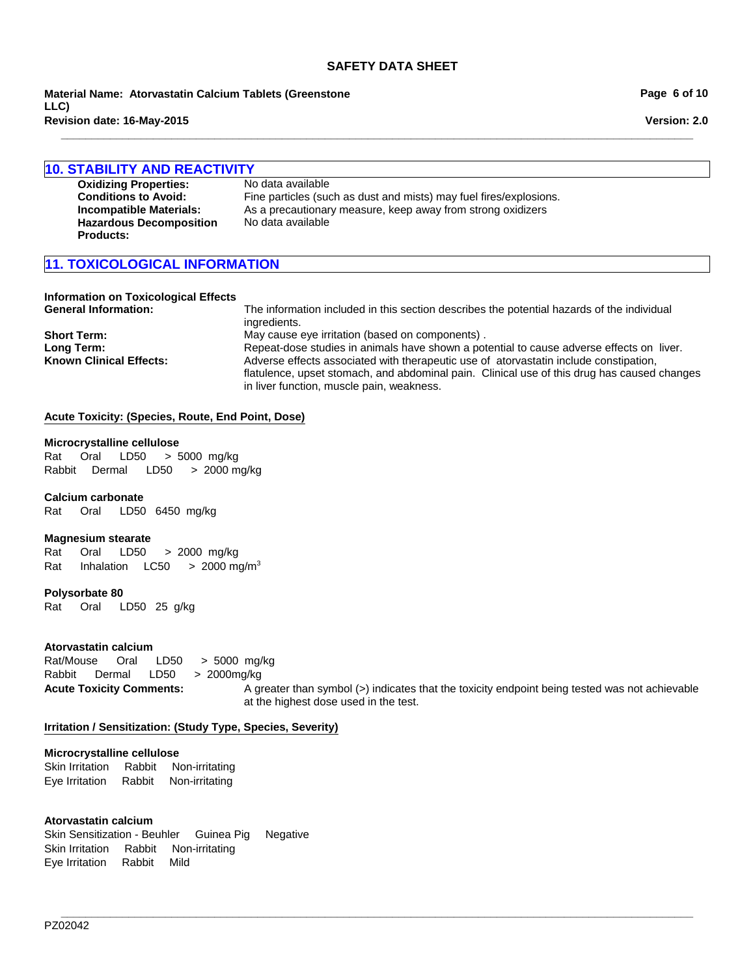**Revision date: 16-May-2015 Material Name: Atorvastatin Calcium Tablets (Greenstone LLC)**

#### **10. STABILITY AND REACTIVITY**

| <b>Oxidizing Properties:</b>   | No data available                                                  |
|--------------------------------|--------------------------------------------------------------------|
| <b>Conditions to Avoid:</b>    | Fine particles (such as dust and mists) may fuel fires/explosions. |
| Incompatible Materials:        | As a precautionary measure, keep away from strong oxidizers        |
| <b>Hazardous Decomposition</b> | No data available                                                  |
|                                |                                                                    |

**\_\_\_\_\_\_\_\_\_\_\_\_\_\_\_\_\_\_\_\_\_\_\_\_\_\_\_\_\_\_\_\_\_\_\_\_\_\_\_\_\_\_\_\_\_\_\_\_\_\_\_\_\_\_\_\_\_\_\_\_\_\_\_\_\_\_\_\_\_\_\_\_\_\_\_\_\_\_\_\_\_\_\_\_\_\_\_\_\_\_\_\_\_\_\_\_\_\_\_\_\_\_\_**

## **11. TOXICOLOGICAL INFORMATION**

# **Information on Toxicological Effects**

**Products:**

**General Information:** The information included in this section describes the potential hazards of the individual ingredients. **Short Term:** May cause eye irritation (based on components) . **Long Term:** Repeat-dose studies in animals have shown a potential to cause adverse effects on liver. **Known Clinical Effects:** Adverse effects associated with therapeutic use of atorvastatin include constipation, flatulence, upset stomach, and abdominal pain. Clinical use of this drug has caused changes in liver function, muscle pain, weakness.

#### **Acute Toxicity: (Species, Route, End Point, Dose)**

#### **Microcrystalline cellulose**

Rat Oral LD50 >5000mg/kg RabbitDermal LD50 >2000 mg/kg

#### **Calcium carbonate**

Rat Oral LD50 6450mg/kg

#### **Magnesium stearate**

Rat Oral LD50 >2000mg/kg Rat InhalationLC50 >2000 mg/m3

#### **Polysorbate 80**

Rat Oral LD50 25g/kg

#### **Atorvastatin calcium**

Rat/Mouse Oral LD50 >5000mg/kg Rabbit Dermal LD50 >2000mg/kg

**Acute Toxicity Comments:** A greater than symbol (>) indicates that the toxicity endpoint being tested was not achievable at the highest dose used in the test.

**\_\_\_\_\_\_\_\_\_\_\_\_\_\_\_\_\_\_\_\_\_\_\_\_\_\_\_\_\_\_\_\_\_\_\_\_\_\_\_\_\_\_\_\_\_\_\_\_\_\_\_\_\_\_\_\_\_\_\_\_\_\_\_\_\_\_\_\_\_\_\_\_\_\_\_\_\_\_\_\_\_\_\_\_\_\_\_\_\_\_\_\_\_\_\_\_\_\_\_\_\_\_\_**

#### **Irritation / Sensitization: (Study Type, Species, Severity)**

#### **Microcrystalline cellulose**

Skin IrritationRabbitNon-irritating Eye IrritationRabbitNon-irritating

#### **Atorvastatin calcium**

Skin Sensitization - BeuhlerGuinea PigNegative Skin IrritationRabbitNon-irritating Eye IrritationRabbitMild

PZ02042

**Page 6 of 10**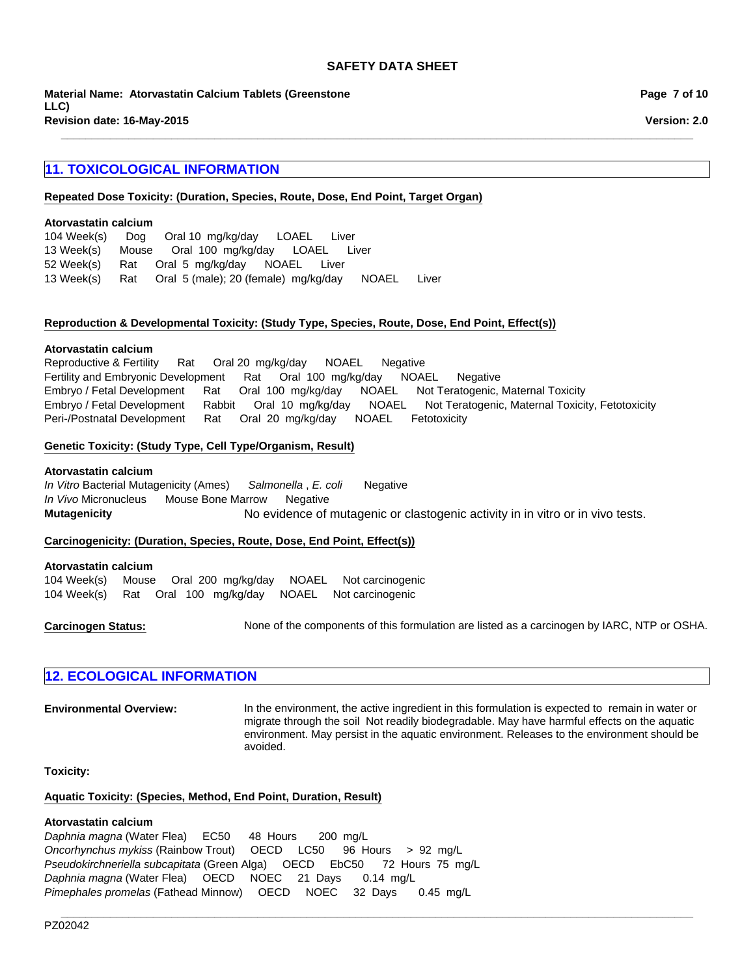**\_\_\_\_\_\_\_\_\_\_\_\_\_\_\_\_\_\_\_\_\_\_\_\_\_\_\_\_\_\_\_\_\_\_\_\_\_\_\_\_\_\_\_\_\_\_\_\_\_\_\_\_\_\_\_\_\_\_\_\_\_\_\_\_\_\_\_\_\_\_\_\_\_\_\_\_\_\_\_\_\_\_\_\_\_\_\_\_\_\_\_\_\_\_\_\_\_\_\_\_\_\_\_**

**Revision date: 16-May-2015 Material Name: Atorvastatin Calcium Tablets (Greenstone LLC)**

# **11. TOXICOLOGICAL INFORMATION**

### **Repeated Dose Toxicity: (Duration, Species, Route, Dose, End Point, Target Organ)**

#### **Atorvastatin calcium**

|            | 104 Week(s) Dog Oral 10 mg/kg/day LOAEL<br>Liver          |       |
|------------|-----------------------------------------------------------|-------|
|            | 13 Week(s) Mouse Oral 100 mg/kg/day LOAEL Liver           |       |
| 52 Week(s) | Rat Oral 5 mg/kg/day NOAEL Liver                          |       |
|            | 13 Week(s) Rat Oral 5 (male); 20 (female) mg/kg/day NOAEL | Liver |

#### **Reproduction & Developmental Toxicity: (Study Type, Species, Route, Dose, End Point, Effect(s))**

#### **Atorvastatin calcium**

Embryo / Fetal DevelopmentRatOral100mg/kg/dayNOAELNot Teratogenic, Maternal Toxicity Embryo / Fetal DevelopmentRabbitOral10mg/kg/dayNOAELNot Teratogenic, Maternal Toxicity, Fetotoxicity Peri-/Postnatal DevelopmentRatOral20mg/kg/dayNOAELFetotoxicity Reproductive & FertilityRatOral 20mg/kg/dayNOAELNegative Fertility and Embryonic DevelopmentRatOral100mg/kg/dayNOAELNegative

#### **Genetic Toxicity: (Study Type, Cell Type/Organism, Result)**

#### **Atorvastatin calcium**

**Mutagenicity** No evidence of mutagenic or clastogenic activity in in vitro or in vivo tests. *In Vitro* Bacterial Mutagenicity (Ames)*Salmonella* , *E. coli* Negative *In Vivo* MicronucleusMouse Bone MarrowNegative

#### **Carcinogenicity: (Duration, Species, Route, Dose, End Point, Effect(s))**

#### **Atorvastatin calcium**

104 Week(s)MouseOral200mg/kg/dayNOAELNot carcinogenic 104 Week(s)RatOral100mg/kg/dayNOAELNot carcinogenic

**Carcinogen Status:** None of the components of this formulation are listed as a carcinogen by IARC, NTP or OSHA.

**\_\_\_\_\_\_\_\_\_\_\_\_\_\_\_\_\_\_\_\_\_\_\_\_\_\_\_\_\_\_\_\_\_\_\_\_\_\_\_\_\_\_\_\_\_\_\_\_\_\_\_\_\_\_\_\_\_\_\_\_\_\_\_\_\_\_\_\_\_\_\_\_\_\_\_\_\_\_\_\_\_\_\_\_\_\_\_\_\_\_\_\_\_\_\_\_\_\_\_\_\_\_\_**

### **12. ECOLOGICAL INFORMATION**

**Environmental Overview:** In the environment, the active ingredient in this formulation is expected to remain in water or migrate through the soil Not readily biodegradable. May have harmful effects on the aquatic environment. May persist in the aquatic environment. Releases to the environment should be avoided.

**Toxicity:**

# **Aquatic Toxicity: (Species, Method, End Point, Duration, Result)**

### **Atorvastatin calcium**

*Daphnia magna* (Water Flea)EC50 48Hours200mg/L *Oncorhynchus mykiss* (Rainbow Trout)OECDLC50 96Hours>92mg/L *Pseudokirchneriella subcapitata* (Green Alga)OECDEbC50 72Hours75mg/L *Daphnia magna* (Water Flea)OECDNOEC21Days0.14mg/L *Pimephales promelas* (Fathead Minnow)OECDNOEC32Days0.45mg/L

**Page 7 of 10**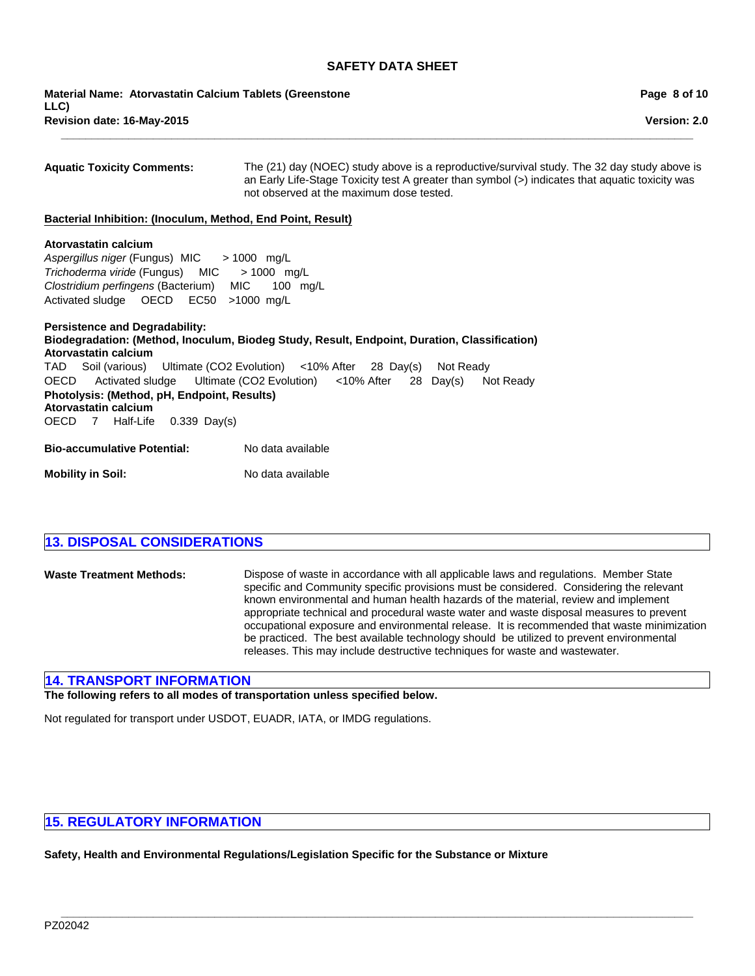**\_\_\_\_\_\_\_\_\_\_\_\_\_\_\_\_\_\_\_\_\_\_\_\_\_\_\_\_\_\_\_\_\_\_\_\_\_\_\_\_\_\_\_\_\_\_\_\_\_\_\_\_\_\_\_\_\_\_\_\_\_\_\_\_\_\_\_\_\_\_\_\_\_\_\_\_\_\_\_\_\_\_\_\_\_\_\_\_\_\_\_\_\_\_\_\_\_\_\_\_\_\_\_**

**Revision date: 16-May-2015 Material Name: Atorvastatin Calcium Tablets (Greenstone LLC)**

| <b>Aquatic Toxicity Comments:</b>                                                                                                                                                                                 | The (21) day (NOEC) study above is a reproductive/survival study. The 32 day study above is<br>an Early Life-Stage Toxicity test A greater than symbol (>) indicates that aquatic toxicity was<br>not observed at the maximum dose tested.                     |
|-------------------------------------------------------------------------------------------------------------------------------------------------------------------------------------------------------------------|----------------------------------------------------------------------------------------------------------------------------------------------------------------------------------------------------------------------------------------------------------------|
| Bacterial Inhibition: (Inoculum, Method, End Point, Result)                                                                                                                                                       |                                                                                                                                                                                                                                                                |
| Atorvastatin calcium<br>Aspergillus niger (Fungus) MIC > 1000 mg/L<br>Trichoderma viride (Fungus) MIC > 1000 mg/L<br>Clostridium perfingens (Bacterium) MIC 100 mg/L<br>Activated sludge  OECD  EC50  >1000  mg/L |                                                                                                                                                                                                                                                                |
| <b>Persistence and Degradability:</b><br>Atorvastatin calcium<br>Photolysis: (Method, pH, Endpoint, Results)<br>Atorvastatin calcium<br>OECD 7 Half-Life 0.339 Day(s)                                             | Biodegradation: (Method, Inoculum, Biodeg Study, Result, Endpoint, Duration, Classification)<br>TAD Soil (various) Ultimate (CO2 Evolution) <10% After 28 Day(s) Not Ready<br>OECD Activated sludge Ultimate (CO2 Evolution) <10% After 28 Day(s)<br>Not Ready |
| Bio-accumulative Potential:                                                                                                                                                                                       | No data available                                                                                                                                                                                                                                              |
| Mobility in Soil:                                                                                                                                                                                                 | No data available                                                                                                                                                                                                                                              |

**Waste Treatment Methods:** Dispose of waste in accordance with all applicable laws and regulations. Member State specific and Community specific provisions must be considered. Considering the relevant known environmental and human health hazards of the material, review and implement appropriate technical and procedural waste water and waste disposal measures to prevent occupational exposure and environmental release. It is recommended that waste minimization be practiced. The best available technology should be utilized to prevent environmental releases. This may include destructive techniques for waste and wastewater.

### **14. TRANSPORT INFORMATION**

**The following refers to all modes of transportation unless specified below.**

Not regulated for transport under USDOT, EUADR, IATA, or IMDG regulations.

# **15. REGULATORY INFORMATION**

**Safety, Health and Environmental Regulations/Legislation Specific for the Substance or Mixture**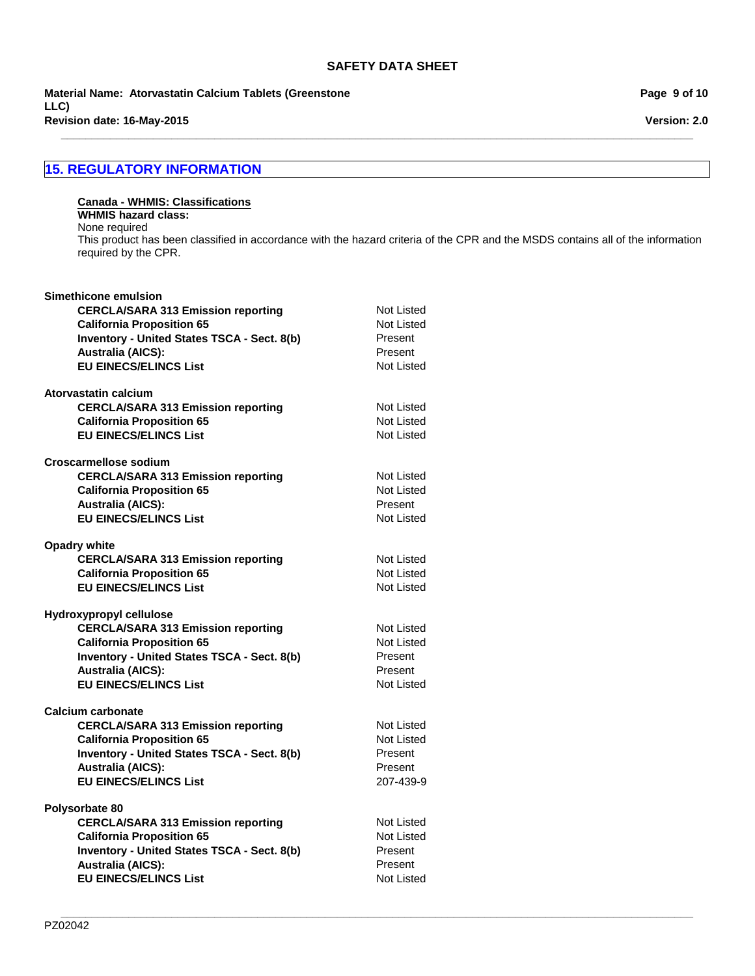**\_\_\_\_\_\_\_\_\_\_\_\_\_\_\_\_\_\_\_\_\_\_\_\_\_\_\_\_\_\_\_\_\_\_\_\_\_\_\_\_\_\_\_\_\_\_\_\_\_\_\_\_\_\_\_\_\_\_\_\_\_\_\_\_\_\_\_\_\_\_\_\_\_\_\_\_\_\_\_\_\_\_\_\_\_\_\_\_\_\_\_\_\_\_\_\_\_\_\_\_\_\_\_**

**Revision date: 16-May-2015 Material Name: Atorvastatin Calcium Tablets (Greenstone LLC)**

# **15. REGULATORY INFORMATION**

#### **Canada - WHMIS: Classifications WHMIS hazard class:** None required

This product has been classified in accordance with the hazard criteria of the CPR and the MSDS contains all of the information required by the CPR.

| Simethicone emulsion                        |            |
|---------------------------------------------|------------|
| <b>CERCLA/SARA 313 Emission reporting</b>   | Not Listed |
| <b>California Proposition 65</b>            | Not Listed |
| Inventory - United States TSCA - Sect. 8(b) | Present    |
| <b>Australia (AICS):</b>                    | Present    |
| <b>EU EINECS/ELINCS List</b>                | Not Listed |
|                                             |            |
| Atorvastatin calcium                        |            |
| <b>CERCLA/SARA 313 Emission reporting</b>   | Not Listed |
| <b>California Proposition 65</b>            | Not Listed |
| <b>EU EINECS/ELINCS List</b>                | Not Listed |
|                                             |            |
| Croscarmellose sodium                       |            |
| <b>CERCLA/SARA 313 Emission reporting</b>   | Not Listed |
| <b>California Proposition 65</b>            | Not Listed |
| <b>Australia (AICS):</b>                    | Present    |
| <b>EU EINECS/ELINCS List</b>                | Not Listed |
|                                             |            |
| <b>Opadry white</b>                         |            |
| <b>CERCLA/SARA 313 Emission reporting</b>   | Not Listed |
| <b>California Proposition 65</b>            | Not Listed |
| <b>EU EINECS/ELINCS List</b>                | Not Listed |
|                                             |            |
| Hydroxypropyl cellulose                     |            |
| <b>CERCLA/SARA 313 Emission reporting</b>   | Not Listed |
| <b>California Proposition 65</b>            | Not Listed |
| Inventory - United States TSCA - Sect. 8(b) | Present    |
|                                             | Present    |
| <b>Australia (AICS):</b>                    | Not Listed |
| <b>EU EINECS/ELINCS List</b>                |            |
| Calcium carbonate                           |            |
| <b>CERCLA/SARA 313 Emission reporting</b>   | Not Listed |
| <b>California Proposition 65</b>            | Not Listed |
|                                             |            |
| Inventory - United States TSCA - Sect. 8(b) | Present    |
| <b>Australia (AICS):</b>                    | Present    |
| <b>EU EINECS/ELINCS List</b>                | 207-439-9  |
| Polysorbate 80                              |            |
|                                             | Not Listed |
| <b>CERCLA/SARA 313 Emission reporting</b>   |            |
| <b>California Proposition 65</b>            | Not Listed |
| Inventory - United States TSCA - Sect. 8(b) | Present    |
| <b>Australia (AICS):</b>                    | Present    |
| <b>EU EINECS/ELINCS List</b>                | Not Listed |
|                                             |            |